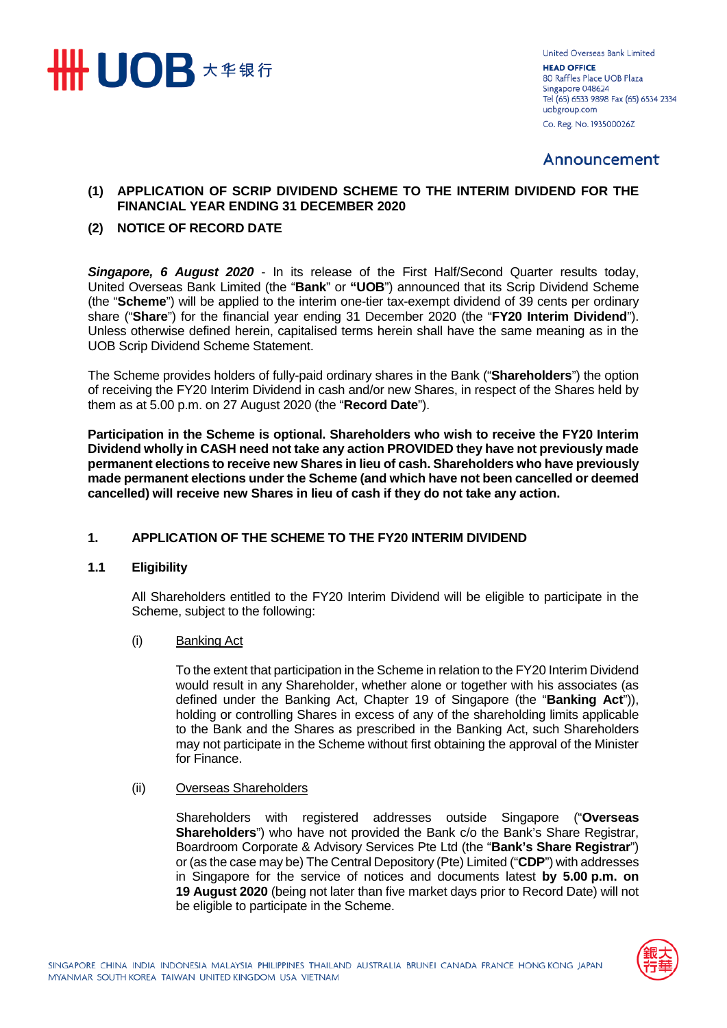

United Overseas Bank Limited **HEAD OFFICE** 80 Raffles Place UOB Plaza Singapore 048624 Tel (65) 6533 9898 Fax (65) 6534 2334 uobgroup.com Co. Reg. No. 193500026Z

# Announcement

### **(1) APPLICATION OF SCRIP DIVIDEND SCHEME TO THE INTERIM DIVIDEND FOR THE FINANCIAL YEAR ENDING 31 DECEMBER 2020**

## **(2) NOTICE OF RECORD DATE**

**Singapore, 6 August 2020** - In its release of the First Half/Second Quarter results today, United Overseas Bank Limited (the "**Bank**" or **"UOB**") announced that its Scrip Dividend Scheme (the "**Scheme**") will be applied to the interim one-tier tax-exempt dividend of 39 cents per ordinary share ("**Share**") for the financial year ending 31 December 2020 (the "**FY20 Interim Dividend**"). Unless otherwise defined herein, capitalised terms herein shall have the same meaning as in the UOB Scrip Dividend Scheme Statement.

The Scheme provides holders of fully-paid ordinary shares in the Bank ("**Shareholders**") the option of receiving the FY20 Interim Dividend in cash and/or new Shares, in respect of the Shares held by them as at 5.00 p.m. on 27 August 2020 (the "**Record Date**").

**Participation in the Scheme is optional. Shareholders who wish to receive the FY20 Interim Dividend wholly in CASH need not take any action PROVIDED they have not previously made permanent elections to receive new Shares in lieu of cash. Shareholders who have previously made permanent elections under the Scheme (and which have not been cancelled or deemed cancelled) will receive new Shares in lieu of cash if they do not take any action.**

#### **1. APPLICATION OF THE SCHEME TO THE FY20 INTERIM DIVIDEND**

#### **1.1 Eligibility**

All Shareholders entitled to the FY20 Interim Dividend will be eligible to participate in the Scheme, subject to the following:

(i) Banking Act

To the extent that participation in the Scheme in relation to the FY20 Interim Dividend would result in any Shareholder, whether alone or together with his associates (as defined under the Banking Act, Chapter 19 of Singapore (the "**Banking Act**")), holding or controlling Shares in excess of any of the shareholding limits applicable to the Bank and the Shares as prescribed in the Banking Act, such Shareholders may not participate in the Scheme without first obtaining the approval of the Minister for Finance.

#### (ii) Overseas Shareholders

Shareholders with registered addresses outside Singapore ("**Overseas Shareholders**") who have not provided the Bank c/o the Bank's Share Registrar, Boardroom Corporate & Advisory Services Pte Ltd (the "**Bank's Share Registrar**") or (as the case may be) The Central Depository (Pte) Limited ("**CDP**") with addresses in Singapore for the service of notices and documents latest **by 5.00 p.m. on 19 August 2020** (being not later than five market days prior to Record Date) will not be eligible to participate in the Scheme.

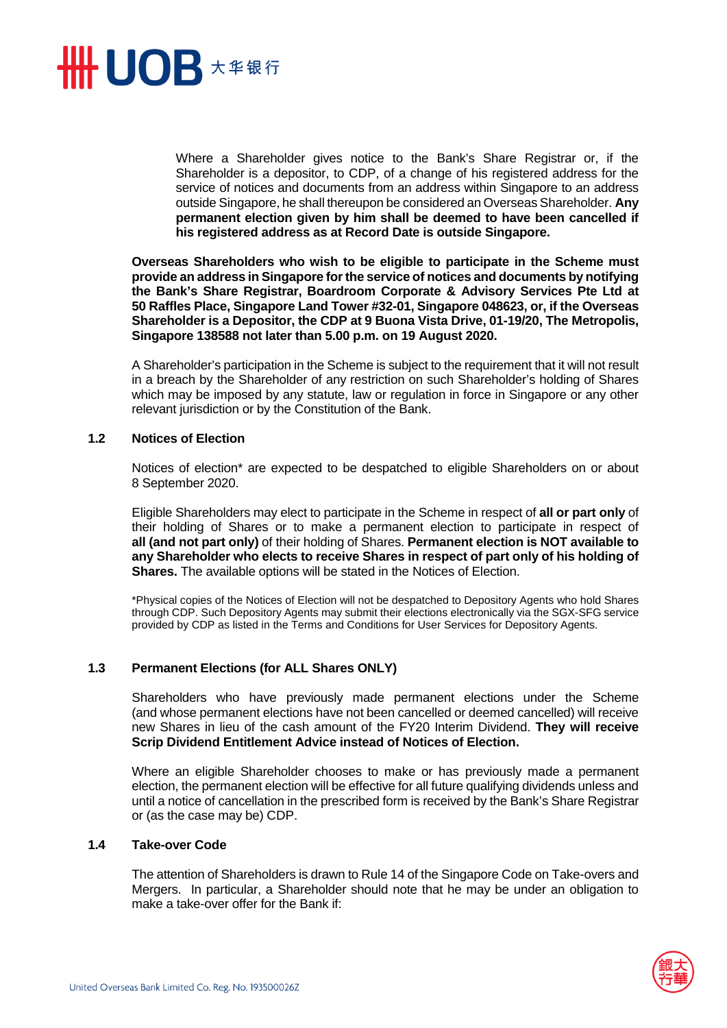

Where a Shareholder gives notice to the Bank's Share Registrar or, if the Shareholder is a depositor, to CDP, of a change of his registered address for the service of notices and documents from an address within Singapore to an address outside Singapore, he shall thereupon be considered an Overseas Shareholder. **Any permanent election given by him shall be deemed to have been cancelled if his registered address as at Record Date is outside Singapore.** 

**Overseas Shareholders who wish to be eligible to participate in the Scheme must provide an address in Singapore for the service of notices and documents by notifying the Bank's Share Registrar, Boardroom Corporate & Advisory Services Pte Ltd at 50 Raffles Place, Singapore Land Tower #32-01, Singapore 048623, or, if the Overseas Shareholder is a Depositor, the CDP at 9 Buona Vista Drive, 01-19/20, The Metropolis, Singapore 138588 not later than 5.00 p.m. on 19 August 2020.** 

A Shareholder's participation in the Scheme is subject to the requirement that it will not result in a breach by the Shareholder of any restriction on such Shareholder's holding of Shares which may be imposed by any statute, law or regulation in force in Singapore or any other relevant jurisdiction or by the Constitution of the Bank.

#### **1.2 Notices of Election**

Notices of election\* are expected to be despatched to eligible Shareholders on or about 8 September 2020.

Eligible Shareholders may elect to participate in the Scheme in respect of **all or part only** of their holding of Shares or to make a permanent election to participate in respect of **all (and not part only)** of their holding of Shares. **Permanent election is NOT available to any Shareholder who elects to receive Shares in respect of part only of his holding of Shares.** The available options will be stated in the Notices of Election.

\*Physical copies of the Notices of Election will not be despatched to Depository Agents who hold Shares through CDP. Such Depository Agents may submit their elections electronically via the SGX-SFG service provided by CDP as listed in the Terms and Conditions for User Services for Depository Agents.

#### **1.3 Permanent Elections (for ALL Shares ONLY)**

Shareholders who have previously made permanent elections under the Scheme (and whose permanent elections have not been cancelled or deemed cancelled) will receive new Shares in lieu of the cash amount of the FY20 Interim Dividend. **They will receive Scrip Dividend Entitlement Advice instead of Notices of Election.** 

Where an eligible Shareholder chooses to make or has previously made a permanent election, the permanent election will be effective for all future qualifying dividends unless and until a notice of cancellation in the prescribed form is received by the Bank's Share Registrar or (as the case may be) CDP.

#### **1.4 Take-over Code**

The attention of Shareholders is drawn to Rule 14 of the Singapore Code on Take-overs and Mergers. In particular, a Shareholder should note that he may be under an obligation to make a take-over offer for the Bank if:

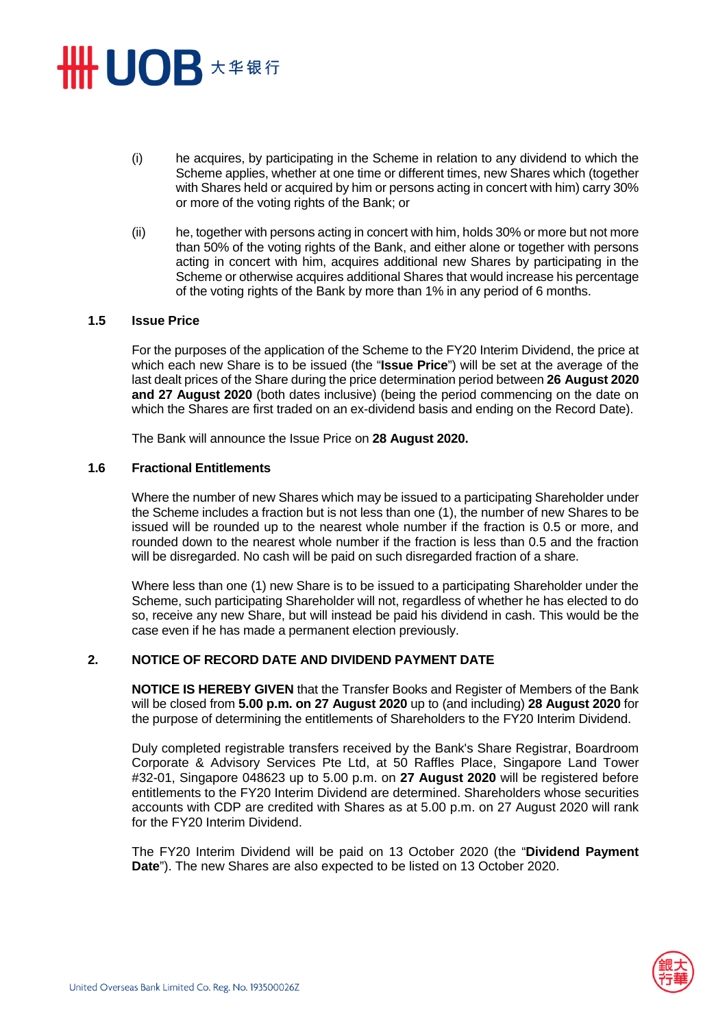# **HHUOB 大华银行**

- (i) he acquires, by participating in the Scheme in relation to any dividend to which the Scheme applies, whether at one time or different times, new Shares which (together with Shares held or acquired by him or persons acting in concert with him) carry 30% or more of the voting rights of the Bank; or
- (ii) he, together with persons acting in concert with him, holds 30% or more but not more than 50% of the voting rights of the Bank, and either alone or together with persons acting in concert with him, acquires additional new Shares by participating in the Scheme or otherwise acquires additional Shares that would increase his percentage of the voting rights of the Bank by more than 1% in any period of 6 months.

#### **1.5 Issue Price**

For the purposes of the application of the Scheme to the FY20 Interim Dividend, the price at which each new Share is to be issued (the "**Issue Price**") will be set at the average of the last dealt prices of the Share during the price determination period between **26 August 2020 and 27 August 2020** (both dates inclusive) (being the period commencing on the date on which the Shares are first traded on an ex-dividend basis and ending on the Record Date).

The Bank will announce the Issue Price on **28 August 2020.**

#### **1.6 Fractional Entitlements**

Where the number of new Shares which may be issued to a participating Shareholder under the Scheme includes a fraction but is not less than one (1), the number of new Shares to be issued will be rounded up to the nearest whole number if the fraction is 0.5 or more, and rounded down to the nearest whole number if the fraction is less than 0.5 and the fraction will be disregarded. No cash will be paid on such disregarded fraction of a share.

Where less than one (1) new Share is to be issued to a participating Shareholder under the Scheme, such participating Shareholder will not, regardless of whether he has elected to do so, receive any new Share, but will instead be paid his dividend in cash. This would be the case even if he has made a permanent election previously.

#### **2. NOTICE OF RECORD DATE AND DIVIDEND PAYMENT DATE**

**NOTICE IS HEREBY GIVEN** that the Transfer Books and Register of Members of the Bank will be closed from **5.00 p.m. on 27 August 2020** up to (and including) **28 August 2020** for the purpose of determining the entitlements of Shareholders to the FY20 Interim Dividend.

Duly completed registrable transfers received by the Bank's Share Registrar, Boardroom Corporate & Advisory Services Pte Ltd, at 50 Raffles Place, Singapore Land Tower #32-01, Singapore 048623 up to 5.00 p.m. on **27 August 2020** will be registered before entitlements to the FY20 Interim Dividend are determined. Shareholders whose securities accounts with CDP are credited with Shares as at 5.00 p.m. on 27 August 2020 will rank for the FY20 Interim Dividend.

The FY20 Interim Dividend will be paid on 13 October 2020 (the "**Dividend Payment Date**"). The new Shares are also expected to be listed on 13 October 2020.